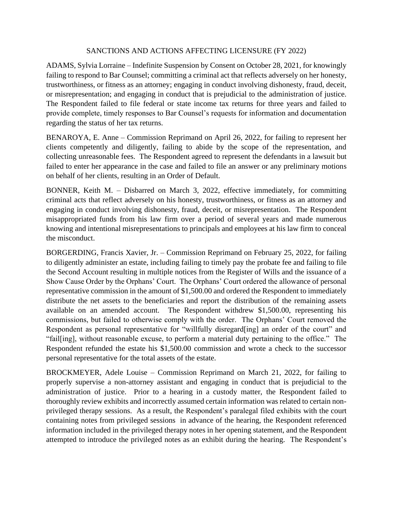## SANCTIONS AND ACTIONS AFFECTING LICENSURE (FY 2022)

ADAMS, Sylvia Lorraine – Indefinite Suspension by Consent on October 28, 2021, for knowingly failing to respond to Bar Counsel; committing a criminal act that reflects adversely on her honesty, trustworthiness, or fitness as an attorney; engaging in conduct involving dishonesty, fraud, deceit, or misrepresentation; and engaging in conduct that is prejudicial to the administration of justice. The Respondent failed to file federal or state income tax returns for three years and failed to provide complete, timely responses to Bar Counsel's requests for information and documentation regarding the status of her tax returns.

BENAROYA, E. Anne – Commission Reprimand on April 26, 2022, for failing to represent her clients competently and diligently, failing to abide by the scope of the representation, and collecting unreasonable fees. The Respondent agreed to represent the defendants in a lawsuit but failed to enter her appearance in the case and failed to file an answer or any preliminary motions on behalf of her clients, resulting in an Order of Default.

BONNER, Keith M. – Disbarred on March 3, 2022, effective immediately, for committing criminal acts that reflect adversely on his honesty, trustworthiness, or fitness as an attorney and engaging in conduct involving dishonesty, fraud, deceit, or misrepresentation. The Respondent misappropriated funds from his law firm over a period of several years and made numerous knowing and intentional misrepresentations to principals and employees at his law firm to conceal the misconduct.

BORGERDING, Francis Xavier, Jr. – Commission Reprimand on February 25, 2022, for failing to diligently administer an estate, including failing to timely pay the probate fee and failing to file the Second Account resulting in multiple notices from the Register of Wills and the issuance of a Show Cause Order by the Orphans' Court. The Orphans' Court ordered the allowance of personal representative commission in the amount of \$1,500.00 and ordered the Respondent to immediately distribute the net assets to the beneficiaries and report the distribution of the remaining assets available on an amended account. The Respondent withdrew \$1,500.00, representing his commissions, but failed to otherwise comply with the order. The Orphans' Court removed the Respondent as personal representative for "willfully disregard[ing] an order of the court" and "fail[ing], without reasonable excuse, to perform a material duty pertaining to the office." The Respondent refunded the estate his \$1,500.00 commission and wrote a check to the successor personal representative for the total assets of the estate.

BROCKMEYER, Adele Louise – Commission Reprimand on March 21, 2022, for failing to properly supervise a non-attorney assistant and engaging in conduct that is prejudicial to the administration of justice. Prior to a hearing in a custody matter, the Respondent failed to thoroughly review exhibits and incorrectly assumed certain information was related to certain nonprivileged therapy sessions. As a result, the Respondent's paralegal filed exhibits with the court containing notes from privileged sessions in advance of the hearing, the Respondent referenced information included in the privileged therapy notes in her opening statement, and the Respondent attempted to introduce the privileged notes as an exhibit during the hearing. The Respondent's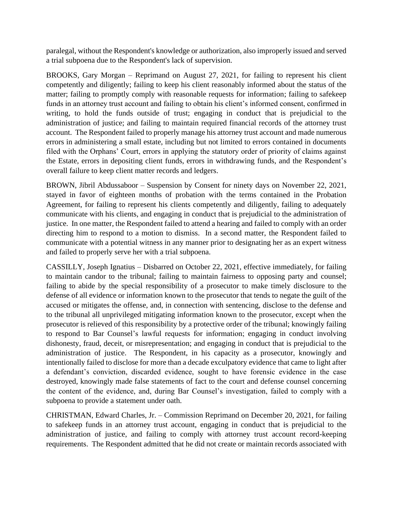paralegal, without the Respondent's knowledge or authorization, also improperly issued and served a trial subpoena due to the Respondent's lack of supervision.

BROOKS, Gary Morgan – Reprimand on August 27, 2021, for failing to represent his client competently and diligently; failing to keep his client reasonably informed about the status of the matter; failing to promptly comply with reasonable requests for information; failing to safekeep funds in an attorney trust account and failing to obtain his client's informed consent, confirmed in writing, to hold the funds outside of trust; engaging in conduct that is prejudicial to the administration of justice; and failing to maintain required financial records of the attorney trust account. The Respondent failed to properly manage his attorney trust account and made numerous errors in administering a small estate, including but not limited to errors contained in documents filed with the Orphans' Court, errors in applying the statutory order of priority of claims against the Estate, errors in depositing client funds, errors in withdrawing funds, and the Respondent's overall failure to keep client matter records and ledgers.

BROWN, Jibril Abdussaboor – Suspension by Consent for ninety days on November 22, 2021, stayed in favor of eighteen months of probation with the terms contained in the Probation Agreement, for failing to represent his clients competently and diligently, failing to adequately communicate with his clients, and engaging in conduct that is prejudicial to the administration of justice. In one matter, the Respondent failed to attend a hearing and failed to comply with an order directing him to respond to a motion to dismiss. In a second matter, the Respondent failed to communicate with a potential witness in any manner prior to designating her as an expert witness and failed to properly serve her with a trial subpoena.

CASSILLY, Joseph Ignatius – Disbarred on October 22, 2021, effective immediately, for failing to maintain candor to the tribunal; failing to maintain fairness to opposing party and counsel; failing to abide by the special responsibility of a prosecutor to make timely disclosure to the defense of all evidence or information known to the prosecutor that tends to negate the guilt of the accused or mitigates the offense, and, in connection with sentencing, disclose to the defense and to the tribunal all unprivileged mitigating information known to the prosecutor, except when the prosecutor is relieved of this responsibility by a protective order of the tribunal; knowingly failing to respond to Bar Counsel's lawful requests for information; engaging in conduct involving dishonesty, fraud, deceit, or misrepresentation; and engaging in conduct that is prejudicial to the administration of justice. The Respondent, in his capacity as a prosecutor, knowingly and intentionally failed to disclose for more than a decade exculpatory evidence that came to light after a defendant's conviction, discarded evidence, sought to have forensic evidence in the case destroyed, knowingly made false statements of fact to the court and defense counsel concerning the content of the evidence, and, during Bar Counsel's investigation, failed to comply with a subpoena to provide a statement under oath.

CHRISTMAN, Edward Charles, Jr. – Commission Reprimand on December 20, 2021, for failing to safekeep funds in an attorney trust account, engaging in conduct that is prejudicial to the administration of justice, and failing to comply with attorney trust account record-keeping requirements. The Respondent admitted that he did not create or maintain records associated with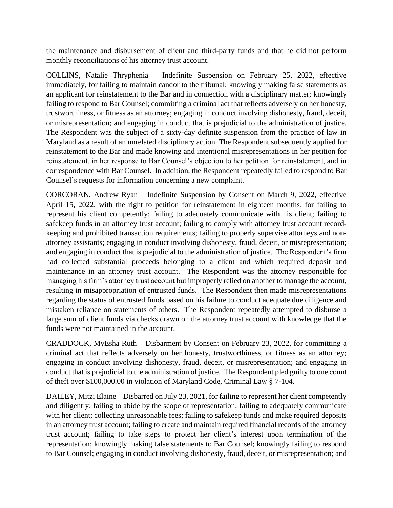the maintenance and disbursement of client and third-party funds and that he did not perform monthly reconciliations of his attorney trust account.

COLLINS, Natalie Thryphenia – Indefinite Suspension on February 25, 2022, effective immediately, for failing to maintain candor to the tribunal; knowingly making false statements as an applicant for reinstatement to the Bar and in connection with a disciplinary matter; knowingly failing to respond to Bar Counsel; committing a criminal act that reflects adversely on her honesty, trustworthiness, or fitness as an attorney; engaging in conduct involving dishonesty, fraud, deceit, or misrepresentation; and engaging in conduct that is prejudicial to the administration of justice. The Respondent was the subject of a sixty-day definite suspension from the practice of law in Maryland as a result of an unrelated disciplinary action. The Respondent subsequently applied for reinstatement to the Bar and made knowing and intentional misrepresentations in her petition for reinstatement, in her response to Bar Counsel's objection to her petition for reinstatement, and in correspondence with Bar Counsel. In addition, the Respondent repeatedly failed to respond to Bar Counsel's requests for information concerning a new complaint.

CORCORAN, Andrew Ryan – Indefinite Suspension by Consent on March 9, 2022, effective April 15, 2022, with the right to petition for reinstatement in eighteen months, for failing to represent his client competently; failing to adequately communicate with his client; failing to safekeep funds in an attorney trust account; failing to comply with attorney trust account recordkeeping and prohibited transaction requirements; failing to properly supervise attorneys and nonattorney assistants; engaging in conduct involving dishonesty, fraud, deceit, or misrepresentation; and engaging in conduct that is prejudicial to the administration of justice. The Respondent's firm had collected substantial proceeds belonging to a client and which required deposit and maintenance in an attorney trust account. The Respondent was the attorney responsible for managing his firm's attorney trust account but improperly relied on another to manage the account, resulting in misappropriation of entrusted funds. The Respondent then made misrepresentations regarding the status of entrusted funds based on his failure to conduct adequate due diligence and mistaken reliance on statements of others. The Respondent repeatedly attempted to disburse a large sum of client funds via checks drawn on the attorney trust account with knowledge that the funds were not maintained in the account.

CRADDOCK, MyEsha Ruth – Disbarment by Consent on February 23, 2022, for committing a criminal act that reflects adversely on her honesty, trustworthiness, or fitness as an attorney; engaging in conduct involving dishonesty, fraud, deceit, or misrepresentation; and engaging in conduct that is prejudicial to the administration of justice. The Respondent pled guilty to one count of theft over \$100,000.00 in violation of Maryland Code, Criminal Law § 7-104.

DAILEY, Mitzi Elaine – Disbarred on July 23, 2021, for failing to represent her client competently and diligently; failing to abide by the scope of representation; failing to adequately communicate with her client; collecting unreasonable fees; failing to safekeep funds and make required deposits in an attorney trust account; failing to create and maintain required financial records of the attorney trust account; failing to take steps to protect her client's interest upon termination of the representation; knowingly making false statements to Bar Counsel; knowingly failing to respond to Bar Counsel; engaging in conduct involving dishonesty, fraud, deceit, or misrepresentation; and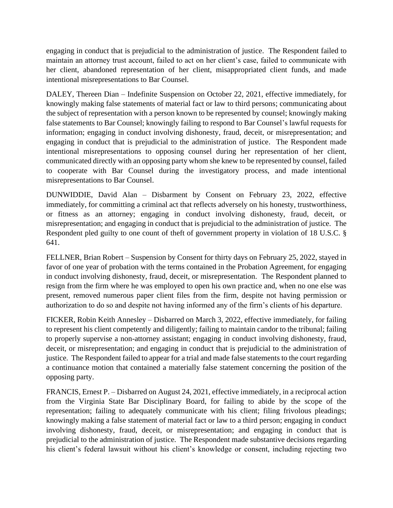engaging in conduct that is prejudicial to the administration of justice. The Respondent failed to maintain an attorney trust account, failed to act on her client's case, failed to communicate with her client, abandoned representation of her client, misappropriated client funds, and made intentional misrepresentations to Bar Counsel.

DALEY, Thereen Dian – Indefinite Suspension on October 22, 2021, effective immediately, for knowingly making false statements of material fact or law to third persons; communicating about the subject of representation with a person known to be represented by counsel; knowingly making false statements to Bar Counsel; knowingly failing to respond to Bar Counsel's lawful requests for information; engaging in conduct involving dishonesty, fraud, deceit, or misrepresentation; and engaging in conduct that is prejudicial to the administration of justice. The Respondent made intentional misrepresentations to opposing counsel during her representation of her client, communicated directly with an opposing party whom she knew to be represented by counsel, failed to cooperate with Bar Counsel during the investigatory process, and made intentional misrepresentations to Bar Counsel.

DUNWIDDIE, David Alan – Disbarment by Consent on February 23, 2022, effective immediately, for committing a criminal act that reflects adversely on his honesty, trustworthiness, or fitness as an attorney; engaging in conduct involving dishonesty, fraud, deceit, or misrepresentation; and engaging in conduct that is prejudicial to the administration of justice. The Respondent pled guilty to one count of theft of government property in violation of 18 U.S.C. § 641.

FELLNER, Brian Robert – Suspension by Consent for thirty days on February 25, 2022, stayed in favor of one year of probation with the terms contained in the Probation Agreement, for engaging in conduct involving dishonesty, fraud, deceit, or misrepresentation. The Respondent planned to resign from the firm where he was employed to open his own practice and, when no one else was present, removed numerous paper client files from the firm, despite not having permission or authorization to do so and despite not having informed any of the firm's clients of his departure.

FICKER, Robin Keith Annesley – Disbarred on March 3, 2022, effective immediately, for failing to represent his client competently and diligently; failing to maintain candor to the tribunal; failing to properly supervise a non-attorney assistant; engaging in conduct involving dishonesty, fraud, deceit, or misrepresentation; and engaging in conduct that is prejudicial to the administration of justice. The Respondent failed to appear for a trial and made false statements to the court regarding a continuance motion that contained a materially false statement concerning the position of the opposing party.

FRANCIS, Ernest P. – Disbarred on August 24, 2021, effective immediately, in a reciprocal action from the Virginia State Bar Disciplinary Board, for failing to abide by the scope of the representation; failing to adequately communicate with his client; filing frivolous pleadings; knowingly making a false statement of material fact or law to a third person; engaging in conduct involving dishonesty, fraud, deceit, or misrepresentation; and engaging in conduct that is prejudicial to the administration of justice. The Respondent made substantive decisions regarding his client's federal lawsuit without his client's knowledge or consent, including rejecting two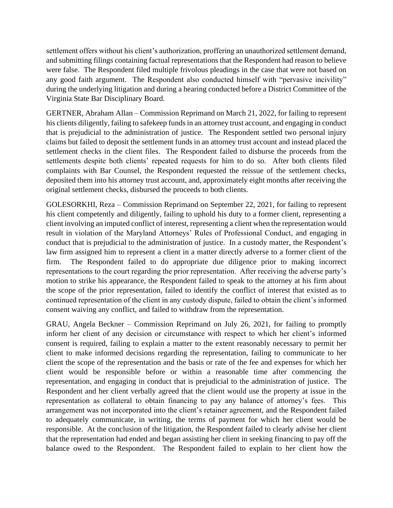settlement offers without his client's authorization, proffering an unauthorized settlement demand, and submitting filings containing factual representations that the Respondent had reason to believe were false. The Respondent filed multiple frivolous pleadings in the case that were not based on any good faith argument. The Respondent also conducted himself with "pervasive incivility" during the underlying litigation and during a hearing conducted before a District Committee of the Virginia State Bar Disciplinary Board.

GERTNER, Abraham Allan – Commission Reprimand on March 21, 2022, for failing to represent his clients diligently, failing to safekeep funds in an attorney trust account, and engaging in conduct that is prejudicial to the administration of justice. The Respondent settled two personal injury claims but failed to deposit the settlement funds in an attorney trust account and instead placed the settlement checks in the client files. The Respondent failed to disburse the proceeds from the settlements despite both clients' repeated requests for him to do so. After both clients filed complaints with Bar Counsel, the Respondent requested the reissue of the settlement checks, deposited them into his attorney trust account, and, approximately eight months after receiving the original settlement checks, disbursed the proceeds to both clients.

GOLESORKHI, Reza – Commission Reprimand on September 22, 2021, for failing to represent his client competently and diligently, failing to uphold his duty to a former client, representing a client involving an imputed conflict of interest, representing a client when the representation would result in violation of the Maryland Attorneys' Rules of Professional Conduct, and engaging in conduct that is prejudicial to the administration of justice. In a custody matter, the Respondent's law firm assigned him to represent a client in a matter directly adverse to a former client of the firm. The Respondent failed to do appropriate due diligence prior to making incorrect representations to the court regarding the prior representation. After receiving the adverse party's motion to strike his appearance, the Respondent failed to speak to the attorney at his firm about the scope of the prior representation, failed to identify the conflict of interest that existed as to continued representation of the client in any custody dispute, failed to obtain the client's informed consent waiving any conflict, and failed to withdraw from the representation.

GRAU, Angela Beckner – Commission Reprimand on July 26, 2021, for failing to promptly inform her client of any decision or circumstance with respect to which her client's informed consent is required, failing to explain a matter to the extent reasonably necessary to permit her client to make informed decisions regarding the representation, failing to communicate to her client the scope of the representation and the basis or rate of the fee and expenses for which her client would be responsible before or within a reasonable time after commencing the representation, and engaging in conduct that is prejudicial to the administration of justice. The Respondent and her client verbally agreed that the client would use the property at issue in the representation as collateral to obtain financing to pay any balance of attorney's fees. This arrangement was not incorporated into the client's retainer agreement, and the Respondent failed to adequately communicate, in writing, the terms of payment for which her client would be responsible. At the conclusion of the litigation, the Respondent failed to clearly advise her client that the representation had ended and began assisting her client in seeking financing to pay off the balance owed to the Respondent. The Respondent failed to explain to her client how the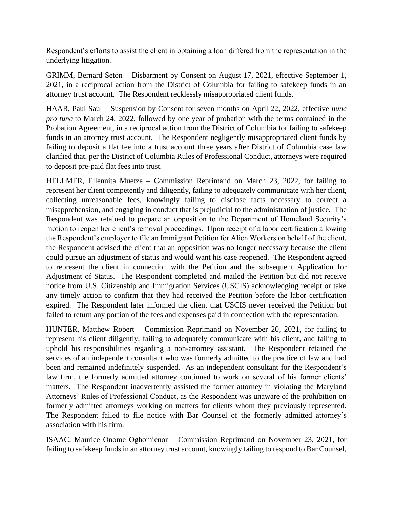Respondent's efforts to assist the client in obtaining a loan differed from the representation in the underlying litigation.

GRIMM, Bernard Seton – Disbarment by Consent on August 17, 2021, effective September 1, 2021, in a reciprocal action from the District of Columbia for failing to safekeep funds in an attorney trust account. The Respondent recklessly misappropriated client funds.

HAAR, Paul Saul – Suspension by Consent for seven months on April 22, 2022, effective *nunc pro tunc* to March 24, 2022, followed by one year of probation with the terms contained in the Probation Agreement, in a reciprocal action from the District of Columbia for failing to safekeep funds in an attorney trust account. The Respondent negligently misappropriated client funds by failing to deposit a flat fee into a trust account three years after District of Columbia case law clarified that, per the District of Columbia Rules of Professional Conduct, attorneys were required to deposit pre-paid flat fees into trust.

HELLMER, Ellennita Muetze – Commission Reprimand on March 23, 2022, for failing to represent her client competently and diligently, failing to adequately communicate with her client, collecting unreasonable fees, knowingly failing to disclose facts necessary to correct a misapprehension, and engaging in conduct that is prejudicial to the administration of justice. The Respondent was retained to prepare an opposition to the Department of Homeland Security's motion to reopen her client's removal proceedings. Upon receipt of a labor certification allowing the Respondent's employer to file an Immigrant Petition for Alien Workers on behalf of the client, the Respondent advised the client that an opposition was no longer necessary because the client could pursue an adjustment of status and would want his case reopened. The Respondent agreed to represent the client in connection with the Petition and the subsequent Application for Adjustment of Status. The Respondent completed and mailed the Petition but did not receive notice from U.S. Citizenship and Immigration Services (USCIS) acknowledging receipt or take any timely action to confirm that they had received the Petition before the labor certification expired. The Respondent later informed the client that USCIS never received the Petition but failed to return any portion of the fees and expenses paid in connection with the representation.

HUNTER, Matthew Robert – Commission Reprimand on November 20, 2021, for failing to represent his client diligently, failing to adequately communicate with his client, and failing to uphold his responsibilities regarding a non-attorney assistant. The Respondent retained the services of an independent consultant who was formerly admitted to the practice of law and had been and remained indefinitely suspended. As an independent consultant for the Respondent's law firm, the formerly admitted attorney continued to work on several of his former clients' matters. The Respondent inadvertently assisted the former attorney in violating the Maryland Attorneys' Rules of Professional Conduct, as the Respondent was unaware of the prohibition on formerly admitted attorneys working on matters for clients whom they previously represented. The Respondent failed to file notice with Bar Counsel of the formerly admitted attorney's association with his firm.

ISAAC, Maurice Onome Oghomienor – Commission Reprimand on November 23, 2021, for failing to safekeep funds in an attorney trust account, knowingly failing to respond to Bar Counsel,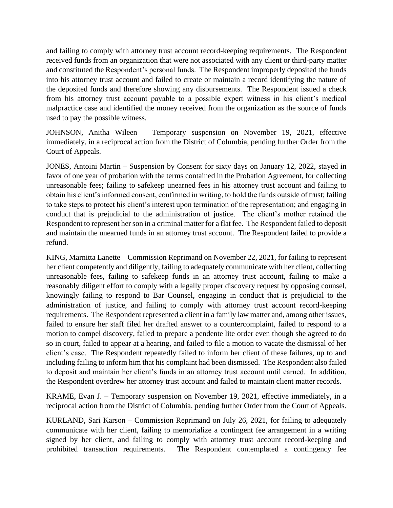and failing to comply with attorney trust account record-keeping requirements. The Respondent received funds from an organization that were not associated with any client or third-party matter and constituted the Respondent's personal funds. The Respondent improperly deposited the funds into his attorney trust account and failed to create or maintain a record identifying the nature of the deposited funds and therefore showing any disbursements. The Respondent issued a check from his attorney trust account payable to a possible expert witness in his client's medical malpractice case and identified the money received from the organization as the source of funds used to pay the possible witness.

JOHNSON, Anitha Wileen – Temporary suspension on November 19, 2021, effective immediately, in a reciprocal action from the District of Columbia, pending further Order from the Court of Appeals.

JONES, Antoini Martin – Suspension by Consent for sixty days on January 12, 2022, stayed in favor of one year of probation with the terms contained in the Probation Agreement, for collecting unreasonable fees; failing to safekeep unearned fees in his attorney trust account and failing to obtain his client's informed consent, confirmed in writing, to hold the funds outside of trust; failing to take steps to protect his client's interest upon termination of the representation; and engaging in conduct that is prejudicial to the administration of justice. The client's mother retained the Respondent to represent her son in a criminal matter for a flat fee. The Respondent failed to deposit and maintain the unearned funds in an attorney trust account. The Respondent failed to provide a refund.

KING, Marnitta Lanette – Commission Reprimand on November 22, 2021, for failing to represent her client competently and diligently, failing to adequately communicate with her client, collecting unreasonable fees, failing to safekeep funds in an attorney trust account, failing to make a reasonably diligent effort to comply with a legally proper discovery request by opposing counsel, knowingly failing to respond to Bar Counsel, engaging in conduct that is prejudicial to the administration of justice, and failing to comply with attorney trust account record-keeping requirements. The Respondent represented a client in a family law matter and, among other issues, failed to ensure her staff filed her drafted answer to a countercomplaint, failed to respond to a motion to compel discovery, failed to prepare a pendente lite order even though she agreed to do so in court, failed to appear at a hearing, and failed to file a motion to vacate the dismissal of her client's case. The Respondent repeatedly failed to inform her client of these failures, up to and including failing to inform him that his complaint had been dismissed. The Respondent also failed to deposit and maintain her client's funds in an attorney trust account until earned. In addition, the Respondent overdrew her attorney trust account and failed to maintain client matter records.

KRAME, Evan J. – Temporary suspension on November 19, 2021, effective immediately, in a reciprocal action from the District of Columbia, pending further Order from the Court of Appeals.

KURLAND, Sari Karson – Commission Reprimand on July 26, 2021, for failing to adequately communicate with her client, failing to memorialize a contingent fee arrangement in a writing signed by her client, and failing to comply with attorney trust account record-keeping and prohibited transaction requirements. The Respondent contemplated a contingency fee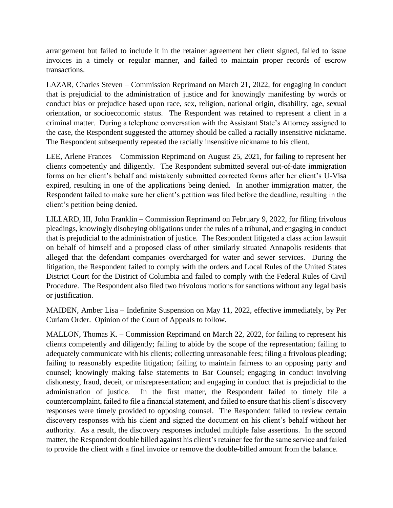arrangement but failed to include it in the retainer agreement her client signed, failed to issue invoices in a timely or regular manner, and failed to maintain proper records of escrow transactions.

LAZAR, Charles Steven – Commission Reprimand on March 21, 2022, for engaging in conduct that is prejudicial to the administration of justice and for knowingly manifesting by words or conduct bias or prejudice based upon race, sex, religion, national origin, disability, age, sexual orientation, or socioeconomic status. The Respondent was retained to represent a client in a criminal matter. During a telephone conversation with the Assistant State's Attorney assigned to the case, the Respondent suggested the attorney should be called a racially insensitive nickname. The Respondent subsequently repeated the racially insensitive nickname to his client.

LEE, Arlene Frances – Commission Reprimand on August 25, 2021, for failing to represent her clients competently and diligently. The Respondent submitted several out-of-date immigration forms on her client's behalf and mistakenly submitted corrected forms after her client's U-Visa expired, resulting in one of the applications being denied. In another immigration matter, the Respondent failed to make sure her client's petition was filed before the deadline, resulting in the client's petition being denied.

LILLARD, III, John Franklin – Commission Reprimand on February 9, 2022, for filing frivolous pleadings, knowingly disobeying obligations under the rules of a tribunal, and engaging in conduct that is prejudicial to the administration of justice. The Respondent litigated a class action lawsuit on behalf of himself and a proposed class of other similarly situated Annapolis residents that alleged that the defendant companies overcharged for water and sewer services. During the litigation, the Respondent failed to comply with the orders and Local Rules of the United States District Court for the District of Columbia and failed to comply with the Federal Rules of Civil Procedure. The Respondent also filed two frivolous motions for sanctions without any legal basis or justification.

MAIDEN, Amber Lisa – Indefinite Suspension on May 11, 2022, effective immediately, by Per Curiam Order. Opinion of the Court of Appeals to follow.

MALLON, Thomas K. – Commission Reprimand on March 22, 2022, for failing to represent his clients competently and diligently; failing to abide by the scope of the representation; failing to adequately communicate with his clients; collecting unreasonable fees; filing a frivolous pleading; failing to reasonably expedite litigation; failing to maintain fairness to an opposing party and counsel; knowingly making false statements to Bar Counsel; engaging in conduct involving dishonesty, fraud, deceit, or misrepresentation; and engaging in conduct that is prejudicial to the administration of justice. In the first matter, the Respondent failed to timely file a countercomplaint, failed to file a financial statement, and failed to ensure that his client's discovery responses were timely provided to opposing counsel. The Respondent failed to review certain discovery responses with his client and signed the document on his client's behalf without her authority. As a result, the discovery responses included multiple false assertions. In the second matter, the Respondent double billed against his client's retainer fee for the same service and failed to provide the client with a final invoice or remove the double-billed amount from the balance.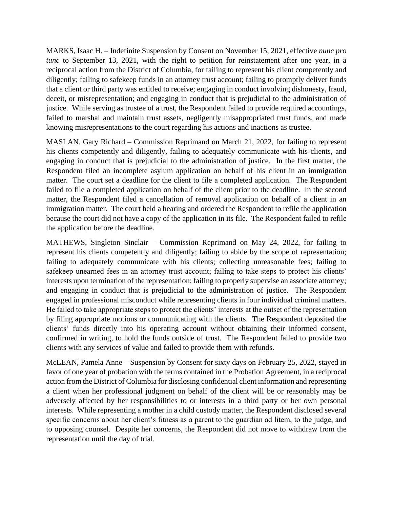MARKS, Isaac H. – Indefinite Suspension by Consent on November 15, 2021, effective *nunc pro tunc* to September 13, 2021, with the right to petition for reinstatement after one year, in a reciprocal action from the District of Columbia, for failing to represent his client competently and diligently; failing to safekeep funds in an attorney trust account; failing to promptly deliver funds that a client or third party was entitled to receive; engaging in conduct involving dishonesty, fraud, deceit, or misrepresentation; and engaging in conduct that is prejudicial to the administration of justice. While serving as trustee of a trust, the Respondent failed to provide required accountings, failed to marshal and maintain trust assets, negligently misappropriated trust funds, and made knowing misrepresentations to the court regarding his actions and inactions as trustee.

MASLAN, Gary Richard – Commission Reprimand on March 21, 2022, for failing to represent his clients competently and diligently, failing to adequately communicate with his clients, and engaging in conduct that is prejudicial to the administration of justice. In the first matter, the Respondent filed an incomplete asylum application on behalf of his client in an immigration matter. The court set a deadline for the client to file a completed application. The Respondent failed to file a completed application on behalf of the client prior to the deadline. In the second matter, the Respondent filed a cancellation of removal application on behalf of a client in an immigration matter. The court held a hearing and ordered the Respondent to refile the application because the court did not have a copy of the application in its file. The Respondent failed to refile the application before the deadline.

MATHEWS, Singleton Sinclair – Commission Reprimand on May 24, 2022, for failing to represent his clients competently and diligently; failing to abide by the scope of representation; failing to adequately communicate with his clients; collecting unreasonable fees; failing to safekeep unearned fees in an attorney trust account; failing to take steps to protect his clients' interests upon termination of the representation; failing to properly supervise an associate attorney; and engaging in conduct that is prejudicial to the administration of justice. The Respondent engaged in professional misconduct while representing clients in four individual criminal matters. He failed to take appropriate steps to protect the clients' interests at the outset of the representation by filing appropriate motions or communicating with the clients. The Respondent deposited the clients' funds directly into his operating account without obtaining their informed consent, confirmed in writing, to hold the funds outside of trust. The Respondent failed to provide two clients with any services of value and failed to provide them with refunds.

McLEAN, Pamela Anne – Suspension by Consent for sixty days on February 25, 2022, stayed in favor of one year of probation with the terms contained in the Probation Agreement, in a reciprocal action from the District of Columbia for disclosing confidential client information and representing a client when her professional judgment on behalf of the client will be or reasonably may be adversely affected by her responsibilities to or interests in a third party or her own personal interests. While representing a mother in a child custody matter, the Respondent disclosed several specific concerns about her client's fitness as a parent to the guardian ad litem, to the judge, and to opposing counsel. Despite her concerns, the Respondent did not move to withdraw from the representation until the day of trial.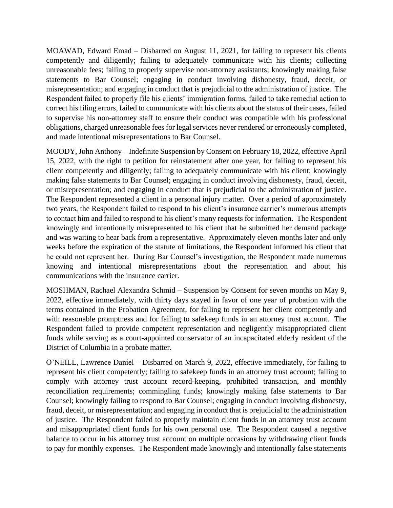MOAWAD, Edward Emad – Disbarred on August 11, 2021, for failing to represent his clients competently and diligently; failing to adequately communicate with his clients; collecting unreasonable fees; failing to properly supervise non-attorney assistants; knowingly making false statements to Bar Counsel; engaging in conduct involving dishonesty, fraud, deceit, or misrepresentation; and engaging in conduct that is prejudicial to the administration of justice. The Respondent failed to properly file his clients' immigration forms, failed to take remedial action to correct his filing errors, failed to communicate with his clients about the status of their cases, failed to supervise his non-attorney staff to ensure their conduct was compatible with his professional obligations, charged unreasonable fees for legal services never rendered or erroneously completed, and made intentional misrepresentations to Bar Counsel.

MOODY, John Anthony – Indefinite Suspension by Consent on February 18, 2022, effective April 15, 2022, with the right to petition for reinstatement after one year, for failing to represent his client competently and diligently; failing to adequately communicate with his client; knowingly making false statements to Bar Counsel; engaging in conduct involving dishonesty, fraud, deceit, or misrepresentation; and engaging in conduct that is prejudicial to the administration of justice. The Respondent represented a client in a personal injury matter. Over a period of approximately two years, the Respondent failed to respond to his client's insurance carrier's numerous attempts to contact him and failed to respond to his client's many requests for information. The Respondent knowingly and intentionally misrepresented to his client that he submitted her demand package and was waiting to hear back from a representative. Approximately eleven months later and only weeks before the expiration of the statute of limitations, the Respondent informed his client that he could not represent her. During Bar Counsel's investigation, the Respondent made numerous knowing and intentional misrepresentations about the representation and about his communications with the insurance carrier.

MOSHMAN, Rachael Alexandra Schmid – Suspension by Consent for seven months on May 9, 2022, effective immediately, with thirty days stayed in favor of one year of probation with the terms contained in the Probation Agreement, for failing to represent her client competently and with reasonable promptness and for failing to safekeep funds in an attorney trust account. The Respondent failed to provide competent representation and negligently misappropriated client funds while serving as a court-appointed conservator of an incapacitated elderly resident of the District of Columbia in a probate matter.

O'NEILL, Lawrence Daniel – Disbarred on March 9, 2022, effective immediately, for failing to represent his client competently; failing to safekeep funds in an attorney trust account; failing to comply with attorney trust account record-keeping, prohibited transaction, and monthly reconciliation requirements; commingling funds; knowingly making false statements to Bar Counsel; knowingly failing to respond to Bar Counsel; engaging in conduct involving dishonesty, fraud, deceit, or misrepresentation; and engaging in conduct that is prejudicial to the administration of justice. The Respondent failed to properly maintain client funds in an attorney trust account and misappropriated client funds for his own personal use. The Respondent caused a negative balance to occur in his attorney trust account on multiple occasions by withdrawing client funds to pay for monthly expenses. The Respondent made knowingly and intentionally false statements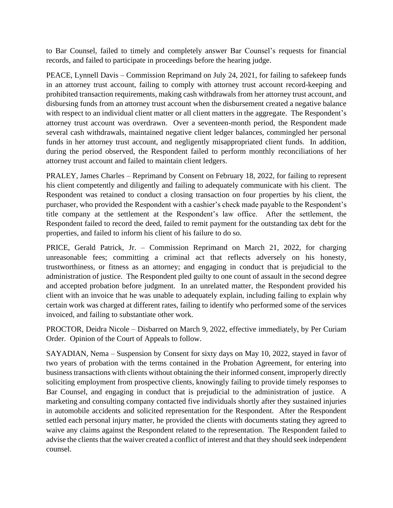to Bar Counsel, failed to timely and completely answer Bar Counsel's requests for financial records, and failed to participate in proceedings before the hearing judge.

PEACE, Lynnell Davis – Commission Reprimand on July 24, 2021, for failing to safekeep funds in an attorney trust account, failing to comply with attorney trust account record-keeping and prohibited transaction requirements, making cash withdrawals from her attorney trust account, and disbursing funds from an attorney trust account when the disbursement created a negative balance with respect to an individual client matter or all client matters in the aggregate. The Respondent's attorney trust account was overdrawn. Over a seventeen-month period, the Respondent made several cash withdrawals, maintained negative client ledger balances, commingled her personal funds in her attorney trust account, and negligently misappropriated client funds. In addition, during the period observed, the Respondent failed to perform monthly reconciliations of her attorney trust account and failed to maintain client ledgers.

PRALEY, James Charles – Reprimand by Consent on February 18, 2022, for failing to represent his client competently and diligently and failing to adequately communicate with his client. The Respondent was retained to conduct a closing transaction on four properties by his client, the purchaser, who provided the Respondent with a cashier's check made payable to the Respondent's title company at the settlement at the Respondent's law office. After the settlement, the Respondent failed to record the deed, failed to remit payment for the outstanding tax debt for the properties, and failed to inform his client of his failure to do so.

PRICE, Gerald Patrick, Jr. – Commission Reprimand on March 21, 2022, for charging unreasonable fees; committing a criminal act that reflects adversely on his honesty, trustworthiness, or fitness as an attorney; and engaging in conduct that is prejudicial to the administration of justice. The Respondent pled guilty to one count of assault in the second degree and accepted probation before judgment. In an unrelated matter, the Respondent provided his client with an invoice that he was unable to adequately explain, including failing to explain why certain work was charged at different rates, failing to identify who performed some of the services invoiced, and failing to substantiate other work.

PROCTOR, Deidra Nicole – Disbarred on March 9, 2022, effective immediately, by Per Curiam Order. Opinion of the Court of Appeals to follow.

SAYADIAN, Nema – Suspension by Consent for sixty days on May 10, 2022, stayed in favor of two years of probation with the terms contained in the Probation Agreement, for entering into business transactions with clients without obtaining the their informed consent, improperly directly soliciting employment from prospective clients, knowingly failing to provide timely responses to Bar Counsel, and engaging in conduct that is prejudicial to the administration of justice. A marketing and consulting company contacted five individuals shortly after they sustained injuries in automobile accidents and solicited representation for the Respondent. After the Respondent settled each personal injury matter, he provided the clients with documents stating they agreed to waive any claims against the Respondent related to the representation. The Respondent failed to advise the clients that the waiver created a conflict of interest and that they should seek independent counsel.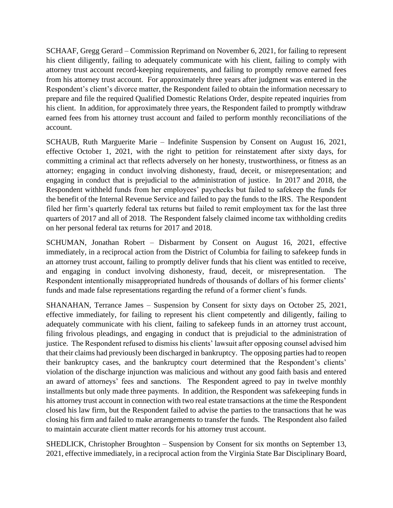SCHAAF, Gregg Gerard – Commission Reprimand on November 6, 2021, for failing to represent his client diligently, failing to adequately communicate with his client, failing to comply with attorney trust account record-keeping requirements, and failing to promptly remove earned fees from his attorney trust account. For approximately three years after judgment was entered in the Respondent's client's divorce matter, the Respondent failed to obtain the information necessary to prepare and file the required Qualified Domestic Relations Order, despite repeated inquiries from his client. In addition, for approximately three years, the Respondent failed to promptly withdraw earned fees from his attorney trust account and failed to perform monthly reconciliations of the account.

SCHAUB, Ruth Marguerite Marie – Indefinite Suspension by Consent on August 16, 2021, effective October 1, 2021, with the right to petition for reinstatement after sixty days, for committing a criminal act that reflects adversely on her honesty, trustworthiness, or fitness as an attorney; engaging in conduct involving dishonesty, fraud, deceit, or misrepresentation; and engaging in conduct that is prejudicial to the administration of justice. In 2017 and 2018, the Respondent withheld funds from her employees' paychecks but failed to safekeep the funds for the benefit of the Internal Revenue Service and failed to pay the funds to the IRS. The Respondent filed her firm's quarterly federal tax returns but failed to remit employment tax for the last three quarters of 2017 and all of 2018. The Respondent falsely claimed income tax withholding credits on her personal federal tax returns for 2017 and 2018.

SCHUMAN, Jonathan Robert – Disbarment by Consent on August 16, 2021, effective immediately, in a reciprocal action from the District of Columbia for failing to safekeep funds in an attorney trust account, failing to promptly deliver funds that his client was entitled to receive, and engaging in conduct involving dishonesty, fraud, deceit, or misrepresentation. The Respondent intentionally misappropriated hundreds of thousands of dollars of his former clients' funds and made false representations regarding the refund of a former client's funds.

SHANAHAN, Terrance James – Suspension by Consent for sixty days on October 25, 2021, effective immediately, for failing to represent his client competently and diligently, failing to adequately communicate with his client, failing to safekeep funds in an attorney trust account, filing frivolous pleadings, and engaging in conduct that is prejudicial to the administration of justice. The Respondent refused to dismiss his clients' lawsuit after opposing counsel advised him that their claims had previously been discharged in bankruptcy. The opposing parties had to reopen their bankruptcy cases, and the bankruptcy court determined that the Respondent's clients' violation of the discharge injunction was malicious and without any good faith basis and entered an award of attorneys' fees and sanctions. The Respondent agreed to pay in twelve monthly installments but only made three payments. In addition, the Respondent was safekeeping funds in his attorney trust account in connection with two real estate transactions at the time the Respondent closed his law firm, but the Respondent failed to advise the parties to the transactions that he was closing his firm and failed to make arrangements to transfer the funds. The Respondent also failed to maintain accurate client matter records for his attorney trust account.

SHEDLICK, Christopher Broughton – Suspension by Consent for six months on September 13, 2021, effective immediately, in a reciprocal action from the Virginia State Bar Disciplinary Board,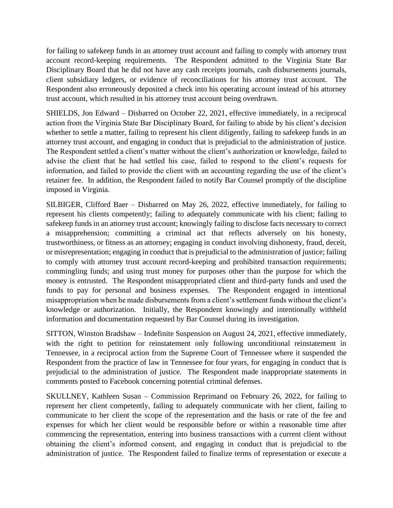for failing to safekeep funds in an attorney trust account and failing to comply with attorney trust account record-keeping requirements. The Respondent admitted to the Virginia State Bar Disciplinary Board that he did not have any cash receipts journals, cash disbursements journals, client subsidiary ledgers, or evidence of reconciliations for his attorney trust account. The Respondent also erroneously deposited a check into his operating account instead of his attorney trust account, which resulted in his attorney trust account being overdrawn.

SHIELDS, Jon Edward – Disbarred on October 22, 2021, effective immediately, in a reciprocal action from the Virginia State Bar Disciplinary Board, for failing to abide by his client's decision whether to settle a matter, failing to represent his client diligently, failing to safekeep funds in an attorney trust account, and engaging in conduct that is prejudicial to the administration of justice. The Respondent settled a client's matter without the client's authorization or knowledge, failed to advise the client that he had settled his case, failed to respond to the client's requests for information, and failed to provide the client with an accounting regarding the use of the client's retainer fee. In addition, the Respondent failed to notify Bar Counsel promptly of the discipline imposed in Virginia.

SILBIGER, Clifford Baer – Disbarred on May 26, 2022, effective immediately, for failing to represent his clients competently; failing to adequately communicate with his client; failing to safekeep funds in an attorney trust account; knowingly failing to disclose facts necessary to correct a misapprehension; committing a criminal act that reflects adversely on his honesty, trustworthiness, or fitness as an attorney; engaging in conduct involving dishonesty, fraud, deceit, or misrepresentation; engaging in conduct that is prejudicial to the administration of justice; failing to comply with attorney trust account record-keeping and prohibited transaction requirements; commingling funds; and using trust money for purposes other than the purpose for which the money is entrusted. The Respondent misappropriated client and third-party funds and used the funds to pay for personal and business expenses. The Respondent engaged in intentional misappropriation when he made disbursements from a client's settlement funds without the client's knowledge or authorization. Initially, the Respondent knowingly and intentionally withheld information and documentation requested by Bar Counsel during its investigation.

SITTON, Winston Bradshaw – Indefinite Suspension on August 24, 2021, effective immediately, with the right to petition for reinstatement only following unconditional reinstatement in Tennessee, in a reciprocal action from the Supreme Court of Tennessee where it suspended the Respondent from the practice of law in Tennessee for four years, for engaging in conduct that is prejudicial to the administration of justice. The Respondent made inappropriate statements in comments posted to Facebook concerning potential criminal defenses.

SKULLNEY, Kathleen Susan – Commission Reprimand on February 26, 2022, for failing to represent her client competently, failing to adequately communicate with her client, failing to communicate to her client the scope of the representation and the basis or rate of the fee and expenses for which her client would be responsible before or within a reasonable time after commencing the representation, entering into business transactions with a current client without obtaining the client's informed consent, and engaging in conduct that is prejudicial to the administration of justice. The Respondent failed to finalize terms of representation or execute a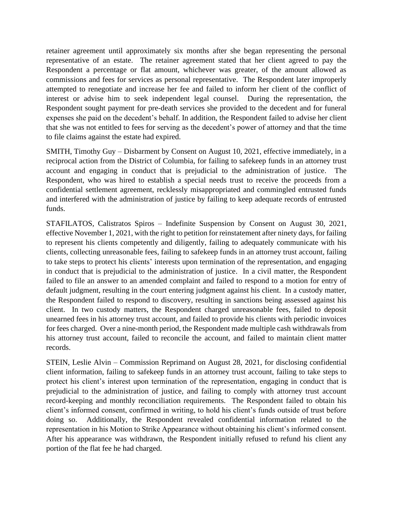retainer agreement until approximately six months after she began representing the personal representative of an estate. The retainer agreement stated that her client agreed to pay the Respondent a percentage or flat amount, whichever was greater, of the amount allowed as commissions and fees for services as personal representative. The Respondent later improperly attempted to renegotiate and increase her fee and failed to inform her client of the conflict of interest or advise him to seek independent legal counsel. During the representation, the Respondent sought payment for pre-death services she provided to the decedent and for funeral expenses she paid on the decedent's behalf. In addition, the Respondent failed to advise her client that she was not entitled to fees for serving as the decedent's power of attorney and that the time to file claims against the estate had expired.

SMITH, Timothy Guy – Disbarment by Consent on August 10, 2021, effective immediately, in a reciprocal action from the District of Columbia, for failing to safekeep funds in an attorney trust account and engaging in conduct that is prejudicial to the administration of justice. The Respondent, who was hired to establish a special needs trust to receive the proceeds from a confidential settlement agreement, recklessly misappropriated and commingled entrusted funds and interfered with the administration of justice by failing to keep adequate records of entrusted funds.

STAFILATOS, Calistratos Spiros – Indefinite Suspension by Consent on August 30, 2021, effective November 1, 2021, with the right to petition for reinstatement after ninety days, for failing to represent his clients competently and diligently, failing to adequately communicate with his clients, collecting unreasonable fees, failing to safekeep funds in an attorney trust account, failing to take steps to protect his clients' interests upon termination of the representation, and engaging in conduct that is prejudicial to the administration of justice. In a civil matter, the Respondent failed to file an answer to an amended complaint and failed to respond to a motion for entry of default judgment, resulting in the court entering judgment against his client. In a custody matter, the Respondent failed to respond to discovery, resulting in sanctions being assessed against his client. In two custody matters, the Respondent charged unreasonable fees, failed to deposit unearned fees in his attorney trust account, and failed to provide his clients with periodic invoices for fees charged. Over a nine-month period, the Respondent made multiple cash withdrawals from his attorney trust account, failed to reconcile the account, and failed to maintain client matter records.

STEIN, Leslie Alvin – Commission Reprimand on August 28, 2021, for disclosing confidential client information, failing to safekeep funds in an attorney trust account, failing to take steps to protect his client's interest upon termination of the representation, engaging in conduct that is prejudicial to the administration of justice, and failing to comply with attorney trust account record-keeping and monthly reconciliation requirements. The Respondent failed to obtain his client's informed consent, confirmed in writing, to hold his client's funds outside of trust before doing so. Additionally, the Respondent revealed confidential information related to the representation in his Motion to Strike Appearance without obtaining his client's informed consent. After his appearance was withdrawn, the Respondent initially refused to refund his client any portion of the flat fee he had charged.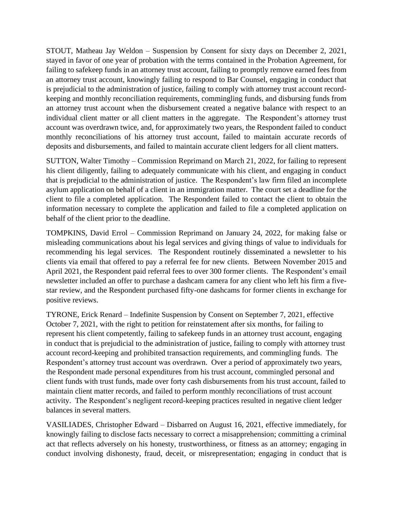STOUT, Matheau Jay Weldon – Suspension by Consent for sixty days on December 2, 2021, stayed in favor of one year of probation with the terms contained in the Probation Agreement, for failing to safekeep funds in an attorney trust account, failing to promptly remove earned fees from an attorney trust account, knowingly failing to respond to Bar Counsel, engaging in conduct that is prejudicial to the administration of justice, failing to comply with attorney trust account recordkeeping and monthly reconciliation requirements, commingling funds, and disbursing funds from an attorney trust account when the disbursement created a negative balance with respect to an individual client matter or all client matters in the aggregate. The Respondent's attorney trust account was overdrawn twice, and, for approximately two years, the Respondent failed to conduct monthly reconciliations of his attorney trust account, failed to maintain accurate records of deposits and disbursements, and failed to maintain accurate client ledgers for all client matters.

SUTTON, Walter Timothy – Commission Reprimand on March 21, 2022, for failing to represent his client diligently, failing to adequately communicate with his client, and engaging in conduct that is prejudicial to the administration of justice. The Respondent's law firm filed an incomplete asylum application on behalf of a client in an immigration matter. The court set a deadline for the client to file a completed application. The Respondent failed to contact the client to obtain the information necessary to complete the application and failed to file a completed application on behalf of the client prior to the deadline.

TOMPKINS, David Errol – Commission Reprimand on January 24, 2022, for making false or misleading communications about his legal services and giving things of value to individuals for recommending his legal services. The Respondent routinely disseminated a newsletter to his clients via email that offered to pay a referral fee for new clients. Between November 2015 and April 2021, the Respondent paid referral fees to over 300 former clients. The Respondent's email newsletter included an offer to purchase a dashcam camera for any client who left his firm a fivestar review, and the Respondent purchased fifty-one dashcams for former clients in exchange for positive reviews.

TYRONE, Erick Renard – Indefinite Suspension by Consent on September 7, 2021, effective October 7, 2021, with the right to petition for reinstatement after six months, for failing to represent his client competently, failing to safekeep funds in an attorney trust account, engaging in conduct that is prejudicial to the administration of justice, failing to comply with attorney trust account record-keeping and prohibited transaction requirements, and commingling funds. The Respondent's attorney trust account was overdrawn. Over a period of approximately two years, the Respondent made personal expenditures from his trust account, commingled personal and client funds with trust funds, made over forty cash disbursements from his trust account, failed to maintain client matter records, and failed to perform monthly reconciliations of trust account activity. The Respondent's negligent record-keeping practices resulted in negative client ledger balances in several matters.

VASILIADES, Christopher Edward – Disbarred on August 16, 2021, effective immediately, for knowingly failing to disclose facts necessary to correct a misapprehension; committing a criminal act that reflects adversely on his honesty, trustworthiness, or fitness as an attorney; engaging in conduct involving dishonesty, fraud, deceit, or misrepresentation; engaging in conduct that is